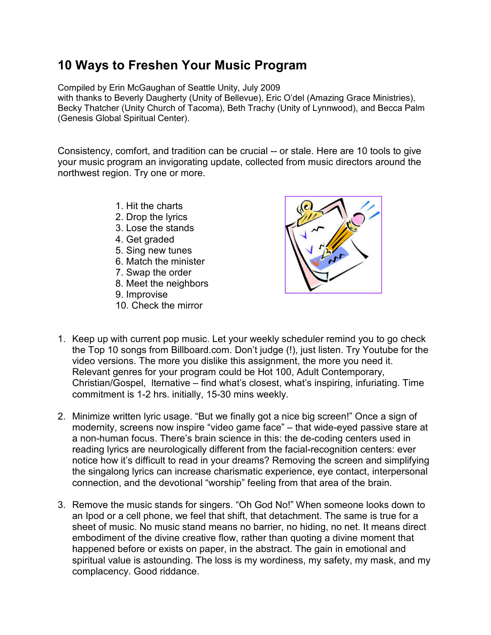## **10 Ways to Freshen Your Music Program**

Compiled by Erin McGaughan of Seattle Unity, July 2009

with thanks to Beverly Daugherty (Unity of Bellevue), Eric O'del (Amazing Grace Ministries), Becky Thatcher (Unity Church of Tacoma), Beth Trachy (Unity of Lynnwood), and Becca Palm (Genesis Global Spiritual Center).

Consistency, comfort, and tradition can be crucial -- or stale. Here are 10 tools to give your music program an invigorating update, collected from music directors around the northwest region. Try one or more.

- 1. Hit the charts
- 2. Drop the lyrics
- 3. Lose the stands
- 4. Get graded
- 5. Sing new tunes
- 6. Match the minister
- 7. Swap the order
- 8. Meet the neighbors
- 9. Improvise
- 10. Check the mirror



- 1. Keep up with current pop music. Let your weekly scheduler remind you to go check the Top 10 songs from Billboard.com. Don't judge (!), just listen. Try Youtube for the video versions. The more you dislike this assignment, the more you need it. Relevant genres for your program could be Hot 100, Adult Contemporary, Christian/Gospel, lternative – find what's closest, what's inspiring, infuriating. Time commitment is 1-2 hrs. initially, 15-30 mins weekly.
- 2. Minimize written lyric usage. "But we finally got a nice big screen!" Once a sign of modernity, screens now inspire "video game face" – that wide-eyed passive stare at a non-human focus. There's brain science in this: the de-coding centers used in reading lyrics are neurologically different from the facial-recognition centers: ever notice how it's difficult to read in your dreams? Removing the screen and simplifying the singalong lyrics can increase charismatic experience, eye contact, interpersonal connection, and the devotional "worship" feeling from that area of the brain.
- 3. Remove the music stands for singers. "Oh God No!" When someone looks down to an Ipod or a cell phone, we feel that shift, that detachment. The same is true for a sheet of music. No music stand means no barrier, no hiding, no net. It means direct embodiment of the divine creative flow, rather than quoting a divine moment that happened before or exists on paper, in the abstract. The gain in emotional and spiritual value is astounding. The loss is my wordiness, my safety, my mask, and my complacency. Good riddance.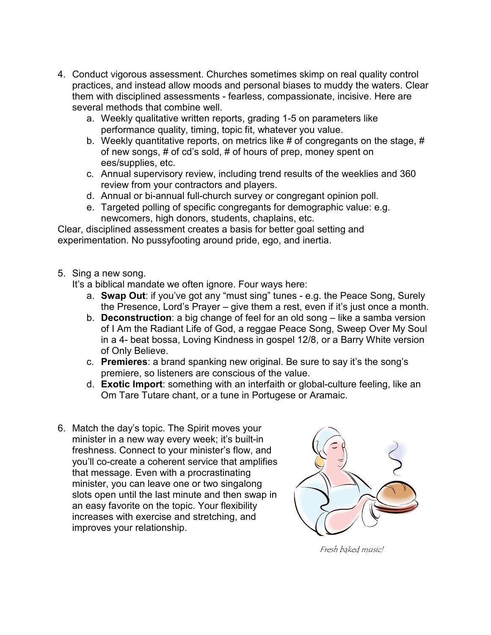- 4. Conduct vigorous assessment. Churches sometimes skimp on real quality control practices, and instead allow moods and personal biases to muddy the waters. Clear them with disciplined assessments - fearless, compassionate, incisive. Here are several methods that combine well.
	- a. Weekly qualitative written reports, grading 1-5 on parameters like performance quality, timing, topic fit, whatever you value.
	- b. Weekly quantitative reports, on metrics like # of congregants on the stage, # of new songs, # of cd's sold, # of hours of prep, money spent on ees/supplies, etc.
	- c. Annual supervisory review, including trend results of the weeklies and 360 review from your contractors and players.
	- d. Annual or bi-annual full-church survey or congregant opinion poll.
	- e. Targeted polling of specific congregants for demographic value: e.g. newcomers, high donors, students, chaplains, etc.

Clear, disciplined assessment creates a basis for better goal setting and experimentation. No pussyfooting around pride, ego, and inertia.

5. Sing a new song.

It's a biblical mandate we often ignore. Four ways here:

- a. **Swap Out**: if you've got any "must sing" tunes e.g. the Peace Song, Surely the Presence, Lord's Prayer – give them a rest, even if it's just once a month.
- b. **Deconstruction**: a big change of feel for an old song like a samba version of I Am the Radiant Life of God, a reggae Peace Song, Sweep Over My Soul in a 4- beat bossa, Loving Kindness in gospel 12/8, or a Barry White version of Only Believe.
- c. **Premieres**: a brand spanking new original. Be sure to say it's the song's premiere, so listeners are conscious of the value.
- d. **Exotic Import**: something with an interfaith or global-culture feeling, like an Om Tare Tutare chant, or a tune in Portugese or Aramaic.
- 6. Match the day's topic. The Spirit moves your minister in a new way every week; it's built-in freshness. Connect to your minister's flow, and you'll co-create a coherent service that amplifies that message. Even with a procrastinating minister, you can leave one or two singalong slots open until the last minute and then swap in an easy favorite on the topic. Your flexibility increases with exercise and stretching, and improves your relationship.



Fresh baked music!